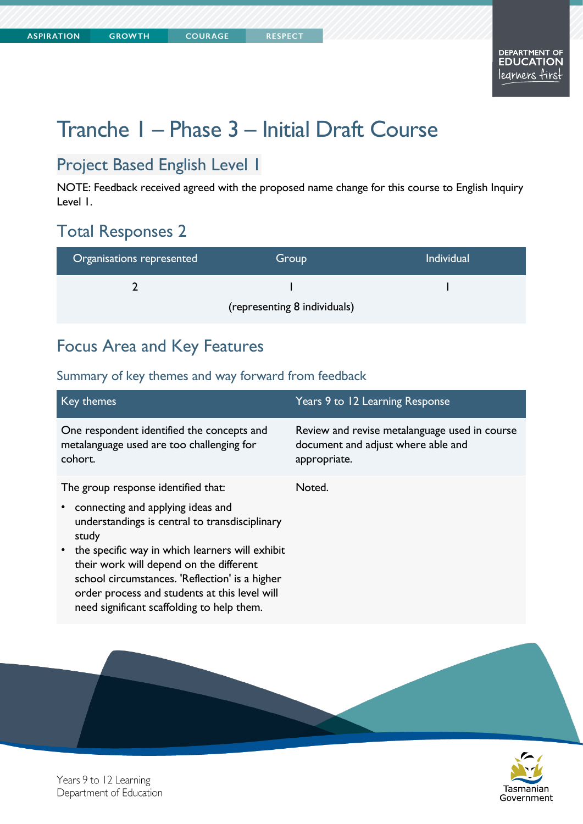**COURAGE** 

# Tranche 1 – Phase 3 – Initial Draft Course

#### Project Based English Level 1

NOTE: Feedback received agreed with the proposed name change for this course to English Inquiry Level 1.

#### Total Responses 2

| Organisations represented    | Group | <b>Individual</b> |
|------------------------------|-------|-------------------|
|                              |       |                   |
| (representing 8 individuals) |       |                   |

#### Focus Area and Key Features

| Key themes                                                                                                                                                                                                                                                                                                                                                                                                   | Years 9 to 12 Learning Response                                                                     |
|--------------------------------------------------------------------------------------------------------------------------------------------------------------------------------------------------------------------------------------------------------------------------------------------------------------------------------------------------------------------------------------------------------------|-----------------------------------------------------------------------------------------------------|
| One respondent identified the concepts and<br>metalanguage used are too challenging for<br>cohort.                                                                                                                                                                                                                                                                                                           | Review and revise metalanguage used in course<br>document and adjust where able and<br>appropriate. |
| The group response identified that:<br>connecting and applying ideas and<br>$\bullet$<br>understandings is central to transdisciplinary<br>study<br>the specific way in which learners will exhibit<br>$\bullet$<br>their work will depend on the different<br>school circumstances. 'Reflection' is a higher<br>order process and students at this level will<br>need significant scaffolding to help them. | Noted.                                                                                              |



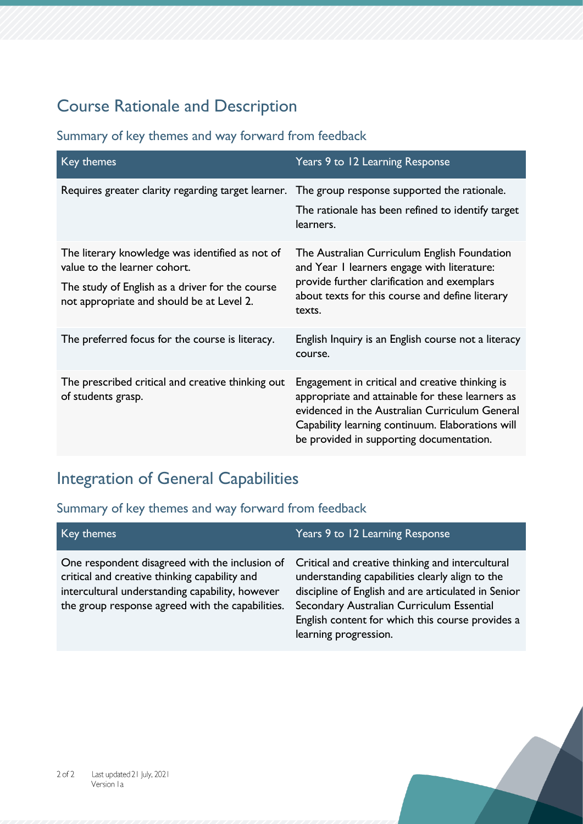# Course Rationale and Description

Summary of key themes and way forward from feedback

| Key themes                                                                                                                                                                      | Years 9 to 12 Learning Response                                                                                                                                                                                                                       |
|---------------------------------------------------------------------------------------------------------------------------------------------------------------------------------|-------------------------------------------------------------------------------------------------------------------------------------------------------------------------------------------------------------------------------------------------------|
| Requires greater clarity regarding target learner.                                                                                                                              | The group response supported the rationale.<br>The rationale has been refined to identify target<br>learners.                                                                                                                                         |
| The literary knowledge was identified as not of<br>value to the learner cohort.<br>The study of English as a driver for the course<br>not appropriate and should be at Level 2. | The Australian Curriculum English Foundation<br>and Year I learners engage with literature:<br>provide further clarification and exemplars<br>about texts for this course and define literary<br>texts.                                               |
| The preferred focus for the course is literacy.                                                                                                                                 | English Inquiry is an English course not a literacy<br>course.                                                                                                                                                                                        |
| The prescribed critical and creative thinking out<br>of students grasp.                                                                                                         | Engagement in critical and creative thinking is<br>appropriate and attainable for these learners as<br>evidenced in the Australian Curriculum General<br>Capability learning continuum. Elaborations will<br>be provided in supporting documentation. |

# Integration of General Capabilities

| Key themes                                                                                                                                                                                             | Years 9 to 12 Learning Response                                                                                                                                                                                                                                                      |
|--------------------------------------------------------------------------------------------------------------------------------------------------------------------------------------------------------|--------------------------------------------------------------------------------------------------------------------------------------------------------------------------------------------------------------------------------------------------------------------------------------|
| One respondent disagreed with the inclusion of<br>critical and creative thinking capability and<br>intercultural understanding capability, however<br>the group response agreed with the capabilities. | Critical and creative thinking and intercultural<br>understanding capabilities clearly align to the<br>discipline of English and are articulated in Senior<br>Secondary Australian Curriculum Essential<br>English content for which this course provides a<br>learning progression. |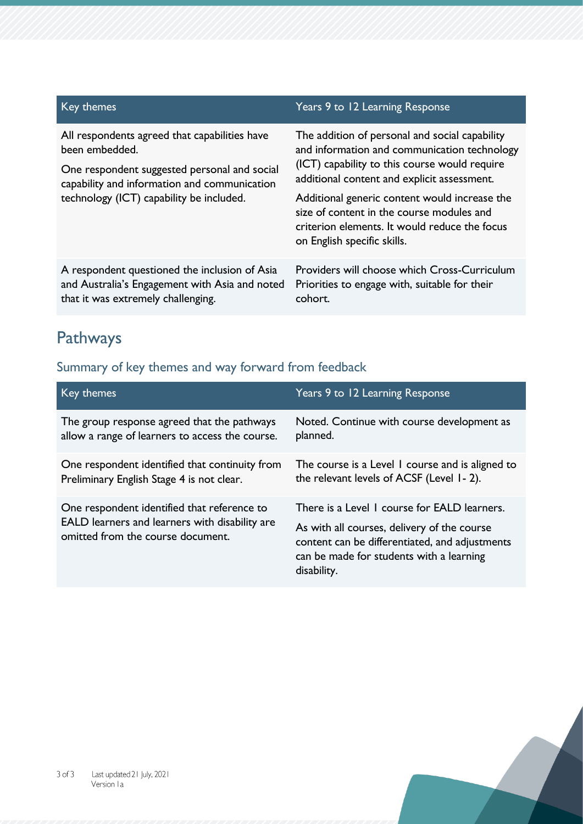| Key themes                                                                                                                                                                                                  | Years 9 to 12 Learning Response                                                                                                                                                                                                                                                                                                                                              |
|-------------------------------------------------------------------------------------------------------------------------------------------------------------------------------------------------------------|------------------------------------------------------------------------------------------------------------------------------------------------------------------------------------------------------------------------------------------------------------------------------------------------------------------------------------------------------------------------------|
| All respondents agreed that capabilities have<br>been embedded.<br>One respondent suggested personal and social<br>capability and information and communication<br>technology (ICT) capability be included. | The addition of personal and social capability<br>and information and communication technology<br>(ICT) capability to this course would require<br>additional content and explicit assessment.<br>Additional generic content would increase the<br>size of content in the course modules and<br>criterion elements. It would reduce the focus<br>on English specific skills. |
| A respondent questioned the inclusion of Asia<br>and Australia's Engagement with Asia and noted<br>that it was extremely challenging.                                                                       | Providers will choose which Cross-Curriculum<br>Priorities to engage with, suitable for their<br>cohort.                                                                                                                                                                                                                                                                     |

# Pathways

| Key themes                                                                                                                         | Years 9 to 12 Learning Response                                                                                                                                                                          |
|------------------------------------------------------------------------------------------------------------------------------------|----------------------------------------------------------------------------------------------------------------------------------------------------------------------------------------------------------|
| The group response agreed that the pathways                                                                                        | Noted. Continue with course development as                                                                                                                                                               |
| allow a range of learners to access the course.                                                                                    | planned.                                                                                                                                                                                                 |
| One respondent identified that continuity from                                                                                     | The course is a Level 1 course and is aligned to                                                                                                                                                         |
| Preliminary English Stage 4 is not clear.                                                                                          | the relevant levels of ACSF (Level 1-2).                                                                                                                                                                 |
| One respondent identified that reference to<br>EALD learners and learners with disability are<br>omitted from the course document. | There is a Level 1 course for EALD learners.<br>As with all courses, delivery of the course<br>content can be differentiated, and adjustments<br>can be made for students with a learning<br>disability. |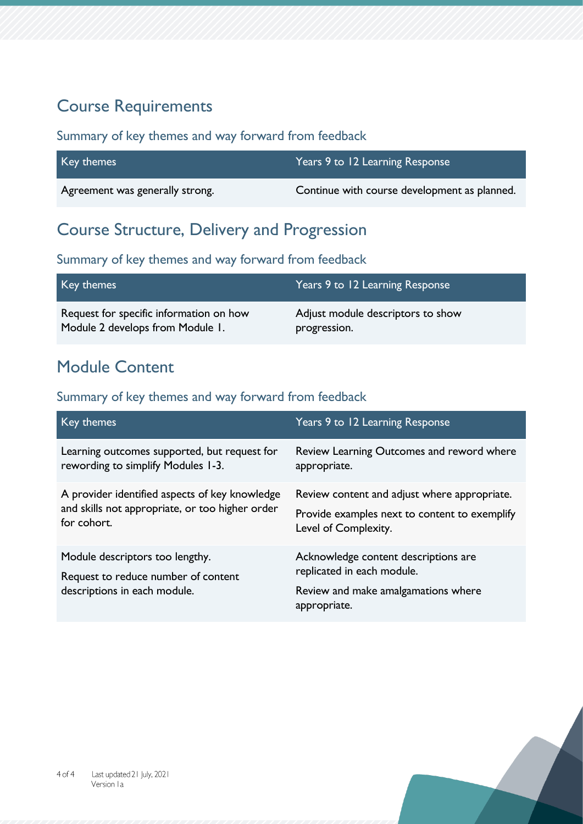#### Course Requirements

#### Summary of key themes and way forward from feedback

| Key themes                      | Years 9 to 12 Learning Response              |
|---------------------------------|----------------------------------------------|
| Agreement was generally strong. | Continue with course development as planned. |

#### Course Structure, Delivery and Progression

#### Summary of key themes and way forward from feedback

| Key themes                              | Years 9 to 12 Learning Response   |
|-----------------------------------------|-----------------------------------|
| Request for specific information on how | Adjust module descriptors to show |
| Module 2 develops from Module 1.        | progression.                      |

# Module Content

| Key themes                                                                                                       | Years 9 to 12 Learning Response                                                                                       |
|------------------------------------------------------------------------------------------------------------------|-----------------------------------------------------------------------------------------------------------------------|
| Learning outcomes supported, but request for<br>rewording to simplify Modules 1-3.                               | Review Learning Outcomes and reword where<br>appropriate.                                                             |
| A provider identified aspects of key knowledge<br>and skills not appropriate, or too higher order<br>for cohort. | Review content and adjust where appropriate.<br>Provide examples next to content to exemplify<br>Level of Complexity. |
| Module descriptors too lengthy.<br>Request to reduce number of content<br>descriptions in each module.           | Acknowledge content descriptions are<br>replicated in each module.                                                    |
|                                                                                                                  | Review and make amalgamations where<br>appropriate.                                                                   |

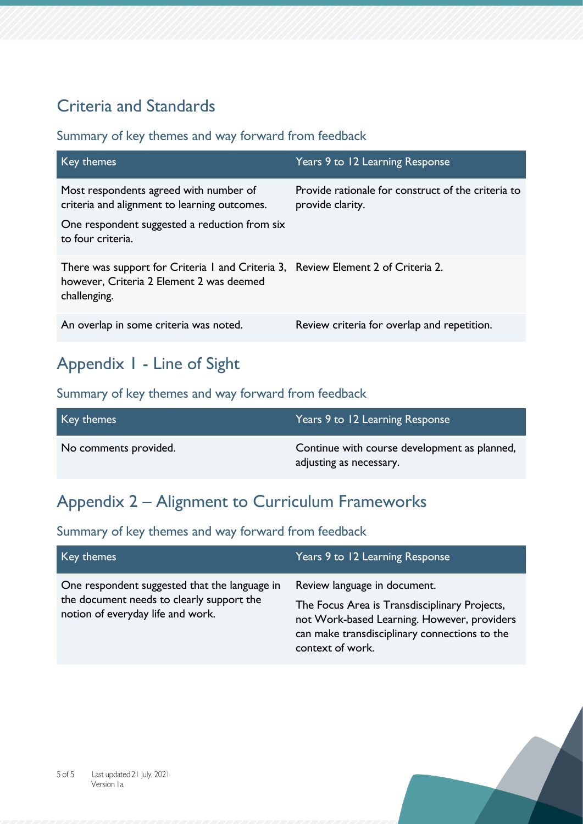# Criteria and Standards

#### Summary of key themes and way forward from feedback

| Key themes                                                                                                                                   | Years 9 to 12 Learning Response                                        |
|----------------------------------------------------------------------------------------------------------------------------------------------|------------------------------------------------------------------------|
| Most respondents agreed with number of<br>criteria and alignment to learning outcomes.                                                       | Provide rationale for construct of the criteria to<br>provide clarity. |
| One respondent suggested a reduction from six<br>to four criteria.                                                                           |                                                                        |
| There was support for Criteria 1 and Criteria 3, Review Element 2 of Criteria 2.<br>however, Criteria 2 Element 2 was deemed<br>challenging. |                                                                        |
| An overlap in some criteria was noted.                                                                                                       | Review criteria for overlap and repetition.                            |

# Appendix 1 - Line of Sight

#### Summary of key themes and way forward from feedback

| Key themes            | Years 9 to 12 Learning Response                                         |
|-----------------------|-------------------------------------------------------------------------|
| No comments provided. | Continue with course development as planned,<br>adjusting as necessary. |

# Appendix 2 – Alignment to Curriculum Frameworks

| Key themes                                                                                                                      | Years 9 to 12 Learning Response                                                                                                                                                                   |
|---------------------------------------------------------------------------------------------------------------------------------|---------------------------------------------------------------------------------------------------------------------------------------------------------------------------------------------------|
| One respondent suggested that the language in<br>the document needs to clearly support the<br>notion of everyday life and work. | Review language in document.<br>The Focus Area is Transdisciplinary Projects,<br>not Work-based Learning. However, providers<br>can make transdisciplinary connections to the<br>context of work. |